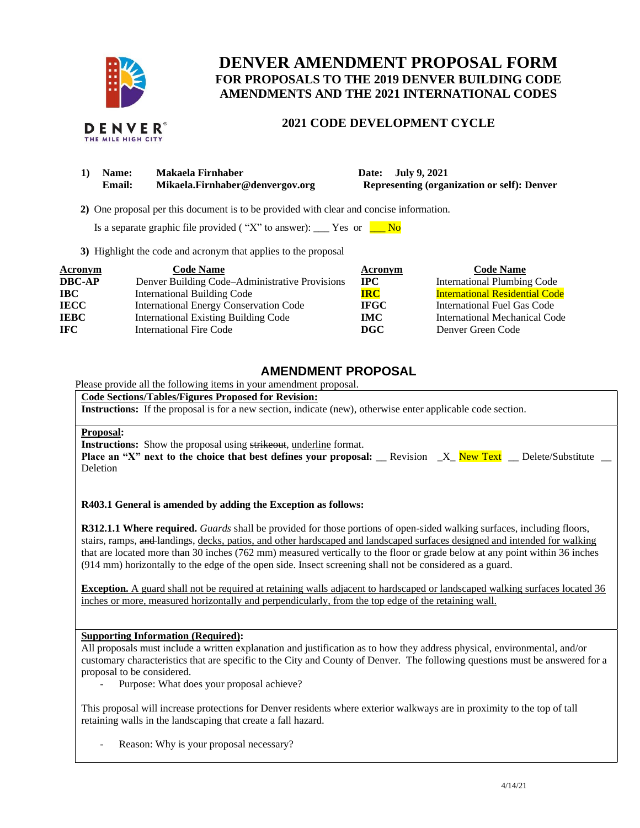

# **DENVER AMENDMENT PROPOSAL FORM FOR PROPOSALS TO THE 2019 DENVER BUILDING CODE AMENDMENTS AND THE 2021 INTERNATIONAL CODES**

# **2021 CODE DEVELOPMENT CYCLE**

| 1) | <b>Name:</b> | Makaela Firnhaber               |  |
|----|--------------|---------------------------------|--|
|    | Email:       | Mikaela.Firnhaber@denvergov.org |  |

**1) Date: July 9, 2021 Representing (organization or self): Denver** 

 **2)** One proposal per this document is to be provided with clear and concise information.

Is a separate graphic file provided ( "X" to answer): \_\_\_\_ Yes or  $\blacksquare$  No

**3)** Highlight the code and acronym that applies to the proposal

| Acronym       | <b>Code Name</b>                               | Acronym     | <b>Code Name</b>                      |
|---------------|------------------------------------------------|-------------|---------------------------------------|
| <b>DBC-AP</b> | Denver Building Code-Administrative Provisions | <b>IPC</b>  | <b>International Plumbing Code</b>    |
| <b>IBC</b>    | <b>International Building Code</b>             | <b>IRC</b>  | <b>International Residential Code</b> |
| <b>IECC</b>   | <b>International Energy Conservation Code</b>  | <b>IFGC</b> | International Fuel Gas Code           |
| <b>IEBC</b>   | <b>International Existing Building Code</b>    | <b>IMC</b>  | International Mechanical Code         |
| IFC .         | International Fire Code                        | DGC         | Denver Green Code                     |

# **AMENDMENT PROPOSAL**

Please provide all the following items in your amendment proposal.

**Code Sections/Tables/Figures Proposed for Revision:**

**Instructions:** If the proposal is for a new section, indicate (new), otherwise enter applicable code section.

### **Proposal:**

**Instructions:** Show the proposal using strikeout, underline format.

**Place an "X" next to the choice that best defines your proposal:** \_\_ Revision \_X\_ New Text \_\_ Delete/Substitute \_\_ Deletion

### **R403.1 General is amended by adding the Exception as follows:**

**R312.1.1 Where required.** *Guards* shall be provided for those portions of open-sided walking surfaces, including floors, stairs, ramps, and landings, decks, patios, and other hardscaped and landscaped surfaces designed and intended for walking that are located more than 30 inches (762 mm) measured vertically to the floor or grade below at any point within 36 inches (914 mm) horizontally to the edge of the open side. Insect screening shall not be considered as a guard.

**Exception.** A guard shall not be required at retaining walls adjacent to hardscaped or landscaped walking surfaces located 36 inches or more, measured horizontally and perpendicularly, from the top edge of the retaining wall.

## **Supporting Information (Required):**

All proposals must include a written explanation and justification as to how they address physical, environmental, and/or customary characteristics that are specific to the City and County of Denver. The following questions must be answered for a proposal to be considered.

Purpose: What does your proposal achieve?

This proposal will increase protections for Denver residents where exterior walkways are in proximity to the top of tall retaining walls in the landscaping that create a fall hazard.

Reason: Why is your proposal necessary?